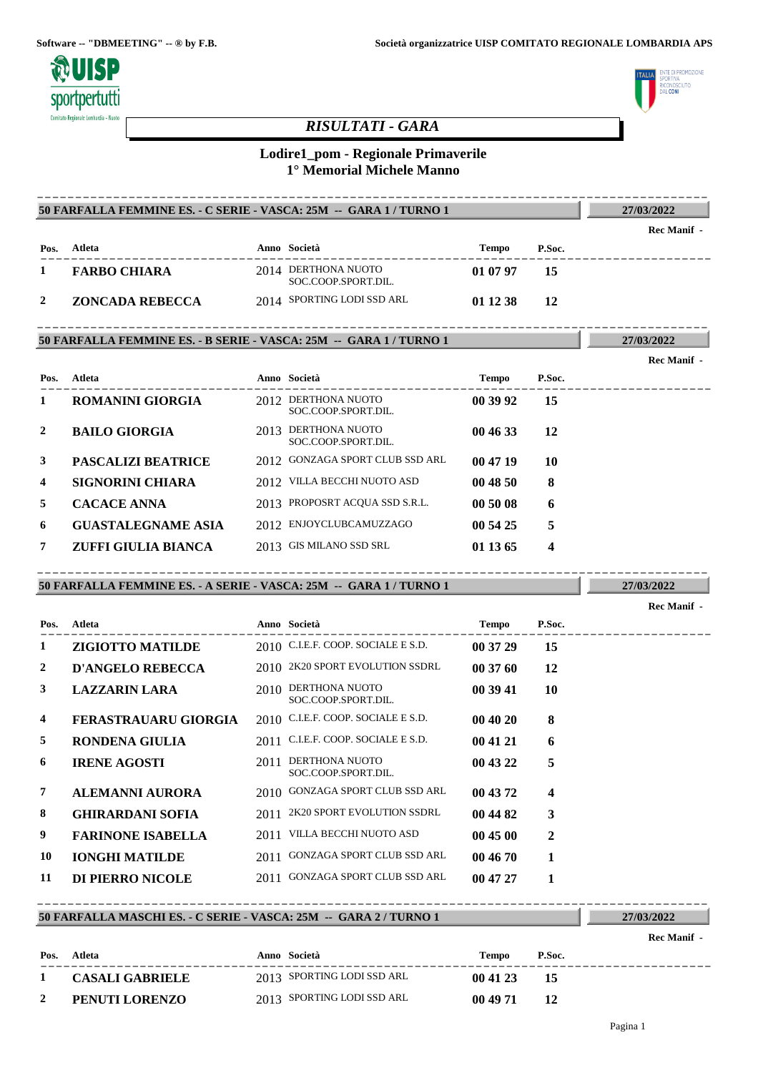

# *RISULTATI - GARA*



# **Lodire1\_pom - Regionale Primaverile 1° Memorial Michele Manno**

|              | 50 FARFALLA FEMMINE ES. - C SERIE - VASCA: 25M -- GARA 1 / TURNO 1 |                                            |          |                         | 27/03/2022         |
|--------------|--------------------------------------------------------------------|--------------------------------------------|----------|-------------------------|--------------------|
|              |                                                                    |                                            |          |                         | <b>Rec Manif</b> - |
| Pos.         | Atleta                                                             | Anno Società<br>. _ _ _ _ _ _ _ _ _ _      | Tempo    | P.Soc.                  |                    |
| $\mathbf{I}$ | <b>FARBO CHIARA</b>                                                | 2014 DERTHONA NUOTO<br>SOC.COOP.SPORT.DIL. | 01 07 97 | 15                      |                    |
| 2            | <b>ZONCADA REBECCA</b>                                             | 2014 SPORTING LODI SSD ARL                 | 01 12 38 | 12                      |                    |
|              | 50 FARFALLA FEMMINE ES. - B SERIE - VASCA: 25M -- GARA 1 / TURNO 1 |                                            |          |                         | 27/03/2022         |
|              |                                                                    |                                            |          |                         | Rec Manif -        |
|              | Pos. Atleta                                                        | Anno Società                               | Tempo    | P.Soc.                  |                    |
| 1            | <b>ROMANINI GIORGIA</b>                                            | 2012 DERTHONA NUOTO<br>SOC.COOP.SPORT.DIL. | 00 39 92 | 15                      |                    |
| 2            | <b>BAILO GIORGIA</b>                                               | 2013 DERTHONA NUOTO<br>SOC.COOP.SPORT.DIL. | 00 46 33 | 12                      |                    |
| 3            | <b>PASCALIZI BEATRICE</b>                                          | 2012 GONZAGA SPORT CLUB SSD ARL            | 00 47 19 | 10                      |                    |
| 4            | <b>SIGNORINI CHIARA</b>                                            | 2012 VILLA BECCHI NUOTO ASD                | 004850   | 8                       |                    |
| 5            | <b>CACACE ANNA</b>                                                 | 2013 PROPOSRT ACQUA SSD S.R.L.             | 00 50 08 | 6                       |                    |
| 6            | <b>GUASTALEGNAME ASIA</b>                                          | 2012 ENJOYCLUBCAMUZZAGO                    | 00 54 25 | 5                       |                    |
| 7            | ZUFFI GIULIA BIANCA                                                | 2013 GIS MILANO SSD SRL                    | 01 13 65 | 4                       |                    |
|              | 50 FARFALLA FEMMINE ES. - A SERIE - VASCA: 25M -- GARA 1 / TURNO 1 |                                            |          |                         | 27/03/2022         |
|              |                                                                    |                                            |          |                         | <b>Rec Manif</b> - |
| Pos.         | Atleta                                                             | Anno Società                               | Tempo    | P.Soc.                  |                    |
| 1            | <b>ZIGIOTTO MATILDE</b>                                            | 2010 C.I.E.F. COOP. SOCIALE E S.D.         | 00 37 29 | 15                      |                    |
| 2            | <b>D'ANGELO REBECCA</b>                                            | 2010 2K20 SPORT EVOLUTION SSDRL            | 00 37 60 | 12                      |                    |
| 3            | <b>LAZZARIN LARA</b>                                               | 2010 DERTHONA NUOTO<br>SOC.COOP.SPORT.DIL. | 00 39 41 | 10                      |                    |
| 4            | <b>FERASTRAUARU GIORGIA</b>                                        | 2010 C.I.E.F. COOP. SOCIALE E S.D.         | 00 40 20 | 8                       |                    |
| 5            | <b>RONDENA GIULIA</b>                                              | 2011 C.I.E.F. COOP. SOCIALE E S.D.         | 00 41 21 | 6                       |                    |
| 6            | <b>IRENE AGOSTI</b>                                                | 2011 DERTHONA NUOTO<br>SOC.COOP.SPORT.DIL. | 00 43 22 | 5                       |                    |
|              |                                                                    | 2010 GONZAGA SPORT CLUB SSD ARL            | 00 43 72 | $\overline{\mathbf{4}}$ |                    |
| 7            | <b>ALEMANNI AURORA</b>                                             |                                            |          |                         |                    |
| 8            | <b>GHIRARDANI SOFIA</b>                                            | 2011 2K20 SPORT EVOLUTION SSDRL            | 00 44 82 | 3                       |                    |
| 9            | <b>FARINONE ISABELLA</b>                                           | 2011 VILLA BECCHI NUOTO ASD                | 00 45 00 | $\overline{2}$          |                    |
| 10           | <b>IONGHI MATILDE</b>                                              | 2011 GONZAGA SPORT CLUB SSD ARL            | 00 46 70 | 1                       |                    |
| 11           | DI PIERRO NICOLE                                                   | 2011 GONZAGA SPORT CLUB SSD ARL            | 00 47 27 | 1                       |                    |

## **50 FARFALLA MASCHI ES. - C SERIE - VASCA: 25M -- GARA 2 / TURNO 1**

**27/03/2022**

|                        |                            |          |        | Rec Manif - |
|------------------------|----------------------------|----------|--------|-------------|
| Pos. Atleta            | Anno Società               | Tempo    | P.Soc. |             |
| <b>CASALI GABRIELE</b> | 2013 SPORTING LODI SSD ARL | 004123   | - 15   |             |
| PENUTI LORENZO         | 2013 SPORTING LODI SSD ARL | 00 49 71 | 12     |             |

----------------------------------------------------------------------------------------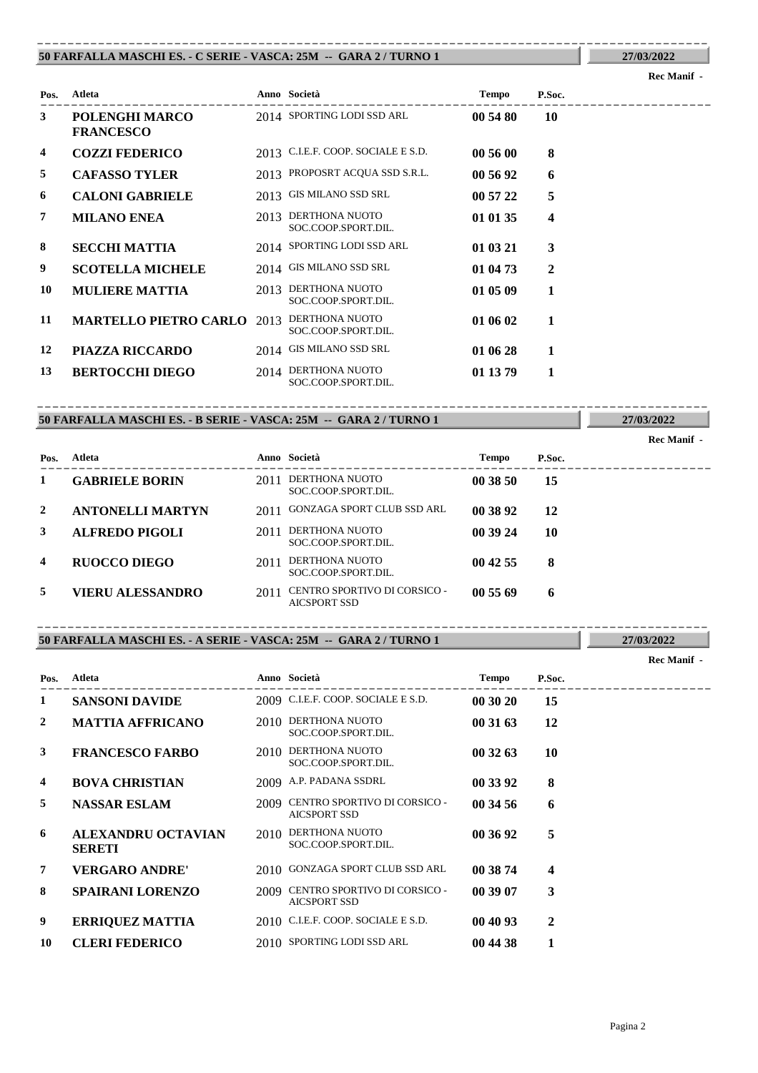### **50 FARFALLA MASCHI ES. - C SERIE - VASCA: 25M -- GARA 2 / TURNO 1** ----------------------------------------------------------------------------------------

# ---------------------------------------------------------------------------------------- **Atleta Anno Società Tempo P.Soc. Pos. 3 POLENGHI MARCO** 2014 **SPORTING LODI SSD ARL 00 54 80 10 FRANCESCO 4 COZZI FEDERICO** 2013 C.I.E.F. COOP. SOCIALE E S.D. **00 56 00 8 5 CAFASSO TYLER** 2013 PROPOSRT ACQUA SSD S.R.L. **00 56 92 6 6 CALONI GABRIELE** 2013 GIS MILANO SSD SRL **00 57 22 5 7 MILANO ENEA** 2013 **DERTHONA NUOTO 01 01 35 4** SOC.COOP.SPORT.DIL. **8 SECCHI MATTIA** 2014 SPORTING LODI SSD ARL **01 03 21 3 9 SCOTELLA MICHELE** 2014 GIS MILANO SSD SRL **01 04 73 2** 2013 DERTHONA NUOTO SOC.COOP.SPORT.DIL. **10 MULIERE MATTIA** 2013 DERTHONA NUOTO **105 09 1 11 MARTELLO PIETRO CARLO** 2013 **DERTHONA NUOTO 01 06 02 1** SOC.COOP.SPORT.DIL. **12 PIAZZA RICCARDO** 2014 GIS MILANO SSD SRL **01 06 28 1 13 BERTOCCHI DIEGO** 2014 **DERTHONA NUOTO 01 13 79 1** SOC.COOP.SPORT.DIL.

### **50 FARFALLA MASCHI ES. - B SERIE - VASCA: 25M -- GARA 2 / TURNO 1** ----------------------------------------------------------------------------------------

|                         |                         |      |                                                     |          |        | Rec Manif - |
|-------------------------|-------------------------|------|-----------------------------------------------------|----------|--------|-------------|
| Pos.                    | Atleta                  |      | Anno Società                                        | Tempo    | P.Soc. |             |
| 1                       | <b>GABRIELE BORIN</b>   | 2011 | DERTHONA NUOTO<br>SOC.COOP.SPORT.DIL.               | 00 38 50 | 15     |             |
| 2                       | <b>ANTONELLI MARTYN</b> | 2011 | GONZAGA SPORT CLUB SSD ARL                          | 00 38 92 | 12     |             |
| 3                       | <b>ALFREDO PIGOLI</b>   | 2011 | DERTHONA NUOTO<br>SOC.COOP.SPORT.DIL.               | 00 39 24 | 10     |             |
| $\overline{\mathbf{4}}$ | <b>RUOCCO DIEGO</b>     | 2011 | DERTHONA NUOTO<br>SOC.COOP.SPORT.DIL.               | 00 42 55 | 8      |             |
| 5                       | VIERU ALESSANDRO        | 2011 | CENTRO SPORTIVO DI CORSICO -<br><b>AICSPORT SSD</b> | 005569   | 6      |             |

### **50 FARFALLA MASCHI ES. - A SERIE - VASCA: 25M -- GARA 2 / TURNO 1** ----------------------------------------------------------------------------------------

| Pos.           | Atleta                                     |      | Anno Società                                             | <b>Tempo</b> | P.Soc. |  |
|----------------|--------------------------------------------|------|----------------------------------------------------------|--------------|--------|--|
| 1              | <b>SANSONI DAVIDE</b>                      |      | 2009 C.I.E.F. COOP. SOCIALE E S.D.                       | 00 30 20     | 15     |  |
| $\overline{2}$ | <b>MATTIA AFFRICANO</b>                    |      | 2010 DERTHONA NUOTO<br>SOC.COOP.SPORT.DIL.               | 00 31 63     | 12     |  |
| 3              | <b>FRANCESCO FARBO</b>                     |      | 2010 DERTHONA NUOTO<br>SOC.COOP.SPORT.DIL.               | 003263       | 10     |  |
| $\overline{4}$ | <b>BOVA CHRISTIAN</b>                      |      | 2009 A.P. PADANA SSDRL                                   | 00 33 92     | 8      |  |
| 5              | <b>NASSAR ESLAM</b>                        |      | 2009 CENTRO SPORTIVO DI CORSICO -<br><b>AICSPORT SSD</b> | 00 34 56     | 6      |  |
| 6              | <b>ALEXANDRU OCTAVIAN</b><br><b>SERETI</b> | 2010 | DERTHONA NUOTO<br>SOC.COOP.SPORT.DIL.                    | 00 36 92     | 5      |  |
| 7              | <b>VERGARO ANDRE'</b>                      |      | 2010 GONZAGA SPORT CLUB SSD ARL                          | 00 38 74     | 4      |  |
| 8              | <b>SPAIRANI LORENZO</b>                    |      | 2009 CENTRO SPORTIVO DI CORSICO -<br><b>AICSPORT SSD</b> | 00 39 07     | 3      |  |
| 9              | <b>ERRIQUEZ MATTIA</b>                     |      | 2010 C.I.E.F. COOP. SOCIALE E S.D.                       | 00 40 93     | 2      |  |
| 10             | <b>CLERI FEDERICO</b>                      |      | 2010 SPORTING LODI SSD ARL                               | 00 44 38     | 1      |  |

Pagina 2

### **Rec Manif -**

**27/03/2022**

**27/03/2022**

**27/03/2022**

**Rec Manif -**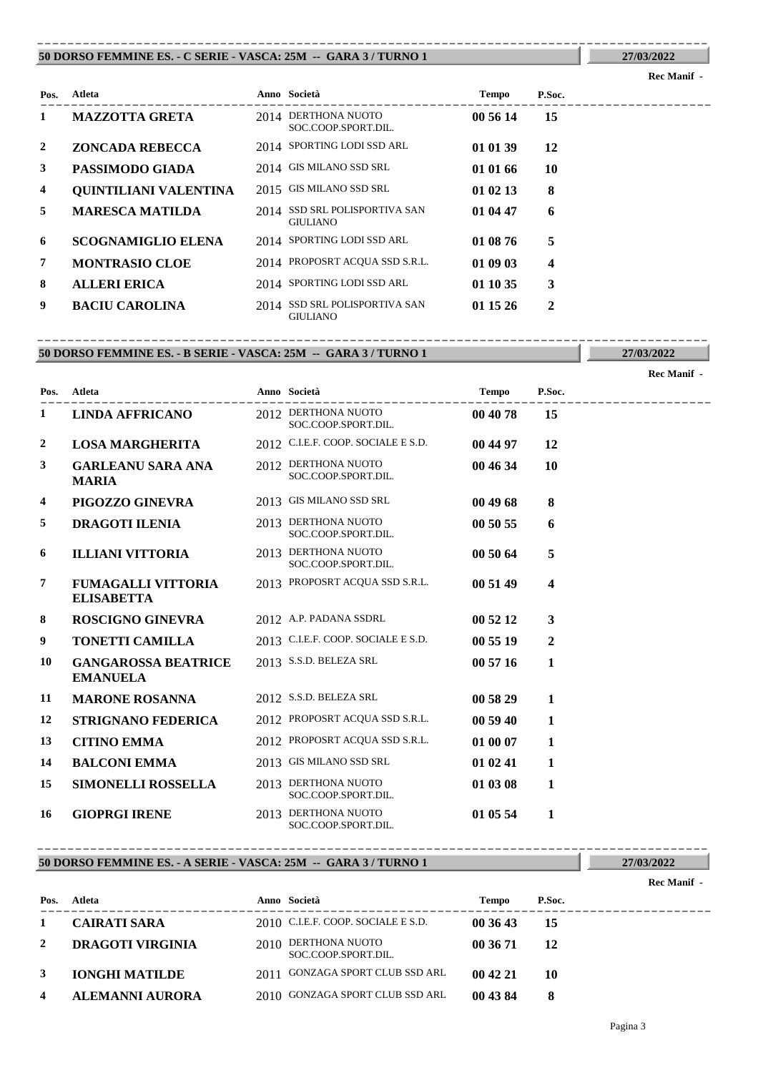### **50 DORSO FEMMINE ES. - C SERIE - VASCA: 25M -- GARA 3 / TURNO 1** ----------------------------------------------------------------------------------------

|              |                           |                                                  |              |        | <b>Rec Manif</b> - |
|--------------|---------------------------|--------------------------------------------------|--------------|--------|--------------------|
| Pos.         | Atleta                    | Anno Società                                     | <b>Tempo</b> | P.Soc. |                    |
| $\mathbf 1$  | <b>MAZZOTTA GRETA</b>     | 2014 DERTHONA NUOTO<br>SOC.COOP.SPORT.DIL.       | 00 56 14     | 15     |                    |
| $\mathbf{2}$ | <b>ZONCADA REBECCA</b>    | 2014 SPORTING LODI SSD ARL                       | 01 01 39     | 12     |                    |
| 3            | PASSIMODO GIADA           | 2014 GIS MILANO SSD SRL                          | 01 01 66     | 10     |                    |
| 4            | QUINTILIANI VALENTINA     | 2015 GIS MILANO SSD SRL                          | 01 02 13     | 8      |                    |
| 5            | <b>MARESCA MATILDA</b>    | 2014 SSD SRL POLISPORTIVA SAN<br><b>GIULIANO</b> | 01 04 47     | 6      |                    |
| 6            | <b>SCOGNAMIGLIO ELENA</b> | 2014 SPORTING LODI SSD ARL                       | 01 08 76     | 5      |                    |
| 7            | <b>MONTRASIO CLOE</b>     | 2014 PROPOSRT ACQUA SSD S.R.L.                   | 01 09 03     | 4      |                    |
| 8            | <b>ALLERI ERICA</b>       | 2014 SPORTING LODI SSD ARL                       | 01 10 35     | 3      |                    |
| 9            | <b>BACIU CAROLINA</b>     | 2014 SSD SRL POLISPORTIVA SAN<br><b>GIULIANO</b> | 01 15 26     | 2      |                    |

### **50 DORSO FEMMINE ES. - B SERIE - VASCA: 25M -- GARA 3 / TURNO 1** ----------------------------------------------------------------------------------------

**27/03/2022**

|      |                                                |                                            |              |              | <b>Rec Manif -</b> |
|------|------------------------------------------------|--------------------------------------------|--------------|--------------|--------------------|
| Pos. | <b>Atleta</b>                                  | Anno Società                               | <b>Tempo</b> | P.Soc.       |                    |
| 1    | <b>LINDA AFFRICANO</b>                         | 2012 DERTHONA NUOTO<br>SOC.COOP.SPORT.DIL. | 00 40 78     | 15           |                    |
| 2    | <b>LOSA MARGHERITA</b>                         | 2012 C.I.E.F. COOP. SOCIALE E S.D.         | 00 44 97     | 12           |                    |
| 3    | <b>GARLEANU SARA ANA</b><br><b>MARIA</b>       | 2012 DERTHONA NUOTO<br>SOC.COOP.SPORT.DIL. | 00 46 34     | 10           |                    |
| 4    | PIGOZZO GINEVRA                                | 2013 GIS MILANO SSD SRL                    | 00 49 68     | 8            |                    |
| 5    | <b>DRAGOTI ILENIA</b>                          | 2013 DERTHONA NUOTO<br>SOC.COOP.SPORT.DIL. | 00 50 55     | 6            |                    |
| 6    | <b>ILLIANI VITTORIA</b>                        | 2013 DERTHONA NUOTO<br>SOC.COOP.SPORT.DIL. | 00 50 64     | 5            |                    |
| 7    | <b>FUMAGALLI VITTORIA</b><br><b>ELISABETTA</b> | 2013 PROPOSRT ACQUA SSD S.R.L.             | 00 51 49     | 4            |                    |
| 8    | <b>ROSCIGNO GINEVRA</b>                        | 2012 A.P. PADANA SSDRL                     | 00 52 12     | 3            |                    |
| 9    | <b>TONETTI CAMILLA</b>                         | 2013 C.I.E.F. COOP. SOCIALE E S.D.         | 00 55 19     | $\mathbf{2}$ |                    |
| 10   | <b>GANGAROSSA BEATRICE</b><br><b>EMANUELA</b>  | 2013 S.S.D. BELEZA SRL                     | 00 57 16     | $\mathbf{1}$ |                    |
| 11   | <b>MARONE ROSANNA</b>                          | 2012 S.S.D. BELEZA SRL                     | 00 58 29     | 1            |                    |
| 12   | <b>STRIGNANO FEDERICA</b>                      | 2012 PROPOSRT ACQUA SSD S.R.L.             | 00 59 40     | 1            |                    |
| 13   | <b>CITINO EMMA</b>                             | 2012 PROPOSRT ACQUA SSD S.R.L.             | 01 00 07     | 1            |                    |
| 14   | <b>BALCONI EMMA</b>                            | 2013 GIS MILANO SSD SRL                    | 01 02 41     | 1            |                    |
| 15   | <b>SIMONELLI ROSSELLA</b>                      | 2013 DERTHONA NUOTO<br>SOC.COOP.SPORT.DIL. | 01 03 08     | 1            |                    |
| 16   | <b>GIOPRGI IRENE</b>                           | 2013 DERTHONA NUOTO<br>SOC.COOP.SPORT.DIL. | 01 05 54     | 1            |                    |

### **50 DORSO FEMMINE ES. - A SERIE - VASCA: 25M -- GARA 3 / TURNO 1** ----------------------------------------------------------------------------------------

### ---------------------------------------------------------------------------------------- **Atleta Anno Società Tempo P.Soc. Pos. Rec Manif - 1 CAIRATI SARA** 2010 C.I.E.F. COOP. SOCIALE E S.D. **00 36 43 15** DERTHONA NUOTO **2 DRAGOTI VIRGINIA** 2010 **00 36 71 12** SOC.COOP.SPORT.DIL. **3 IONGHI MATILDE** 2011 GONZAGA SPORT CLUB SSD ARL **00 42 21 10 4 ALEMANNI AURORA** 2010 GONZAGA SPORT CLUB SSD ARL **00 43 84 8**

**27/03/2022**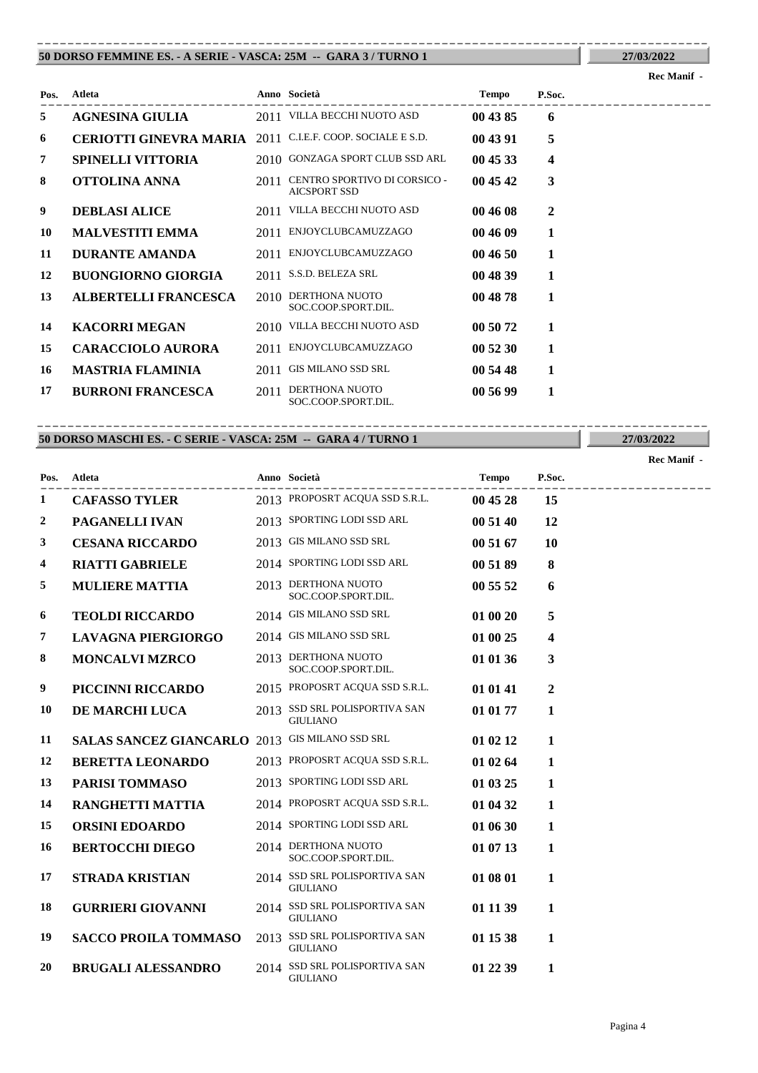### **50 DORSO FEMMINE ES. - A SERIE - VASCA: 25M -- GARA 3 / TURNO 1** ----------------------------------------------------------------------------------------

| Pos. | <b>Atleta</b>                                             |      | Anno Società                                        | Tempo    | P.Soc.       |  |
|------|-----------------------------------------------------------|------|-----------------------------------------------------|----------|--------------|--|
| 5    | <b>AGNESINA GIULIA</b>                                    |      | 2011 VILLA BECCHI NUOTO ASD                         | 00 43 85 | 6            |  |
| 6    | CERIOTTI GINEVRA MARIA 2011 C.I.E.F. COOP. SOCIALE E S.D. |      |                                                     | 00 43 91 | 5            |  |
| 7    | <b>SPINELLI VITTORIA</b>                                  |      | 2010 GONZAGA SPORT CLUB SSD ARL                     | 004533   | 4            |  |
| 8    | OTTOLINA ANNA                                             | 2011 | CENTRO SPORTIVO DI CORSICO -<br><b>AICSPORT SSD</b> | 00 45 42 | 3            |  |
| 9    | <b>DEBLASI ALICE</b>                                      | 2011 | VILLA BECCHI NUOTO ASD                              | 00 46 08 | $\mathbf{2}$ |  |
| 10   | <b>MALVESTITI EMMA</b>                                    | 2011 | ENJOYCLUBCAMUZZAGO                                  | 00 46 09 | 1            |  |
| 11   | <b>DURANTE AMANDA</b>                                     | 2011 | ENJOYCLUBCAMUZZAGO                                  | 004650   | 1            |  |
| 12   | <b>BUONGIORNO GIORGIA</b>                                 | 2011 | S.S.D. BELEZA SRL                                   | 00 48 39 | 1            |  |
| 13   | <b>ALBERTELLI FRANCESCA</b>                               | 2010 | DERTHONA NUOTO<br>SOC.COOP.SPORT.DIL.               | 00 48 78 | 1            |  |
| 14   | <b>KACORRI MEGAN</b>                                      |      | 2010 VILLA BECCHI NUOTO ASD                         | 00 50 72 | 1            |  |
| 15   | <b>CARACCIOLO AURORA</b>                                  | 2011 | ENJOYCLUBCAMUZZAGO                                  | 00 52 30 | 1            |  |
| 16   | <b>MASTRIA FLAMINIA</b>                                   | 2011 | <b>GIS MILANO SSD SRL</b>                           | 00 54 48 | 1            |  |
| 17   | <b>BURRONI FRANCESCA</b>                                  | 2011 | DERTHONA NUOTO<br>SOC.COOP.SPORT.DIL.               | 00 56 99 | 1            |  |

### **50 DORSO MASCHI ES. - C SERIE - VASCA: 25M -- GARA 4 / TURNO 1** ----------------------------------------------------------------------------------------

---------------------------------------------------------------------------------------- **Atleta Anno Società Tempo P.Soc. Pos. CAFASSO TYLER** 2013 PROPOSRT ACQUA SSD S.R.L. **00 45 28 15 PAGANELLI IVAN** 2013 SPORTING LODI SSD ARL **00 51 40 12 CESANA RICCARDO** 2013 GIS MILANO SSD SRL **00 51 67 10 RIATTI GABRIELE** 2014 SPORTING LODI SSD ARL **00 51 89 8 MULIERE MATTIA** 2013 **DERTHONA NUOTO 65 52 6** SOC.COOP.SPORT.DIL. **TEOLDI RICCARDO** 2014 GIS MILANO SSD SRL **01 00 20 5 LAVAGNA PIERGIORGO** 2014 GIS MILANO SSD SRL **01 00 25 4 MONCALVI MZRCO** 2013 **DERTHONA NUOTO 01 01 36 3** SOC.COOP.SPORT.DIL. **PICCINNI RICCARDO** 2015 PROPOSRT ACQUA SSD S.R.L. **01 01 41 2 DE MARCHI LUCA** 2013 SSD SRL POLISPORTIVA SAN **01 01 77 1** GIULIANO **SALAS SANCEZ GIANCARLO** 2013 GIS MILANO SSD SRL **01 02 12 1 BERETTA LEONARDO** 2013 PROPOSRT ACQUA SSD S.R.L. **01 02 64 1 PARISI TOMMASO** 2013 SPORTING LODI SSD ARL **01 03 25 1 RANGHETTI MATTIA** 2014 PROPOSRT ACQUA SSD S.R.L. **01 04 32 1 ORSINI EDOARDO** 2014 SPORTING LODI SSD ARL **01 06 30 1 BERTOCCHI DIEGO** 2014 **DERTHONA NUOTO 01 07 13 1** SOC.COOP.SPORT.DIL. SSD SRL POLISPORTIVA SAN **17 STRADA KRISTIAN** 2014 **01 08 01 1** GIULIANO **GURRIERI GIOVANNI** 2014 SSD SRL POLISPORTIVA SAN **01 11 39 1** GIULIANO **SACCO PROILA TOMMASO** 2013 SSD SRL POLISPORTIVA SAN **01 15 38 1** 

GIULIANO

**20 BRUGALI ALESSANDRO** 2014 SSD SRL POLISPORTIVA SAN **01 22 39 1** GIULIANO

# **27/03/2022**

**Rec Manif -** 

**27/03/2022**

**Rec Manif -**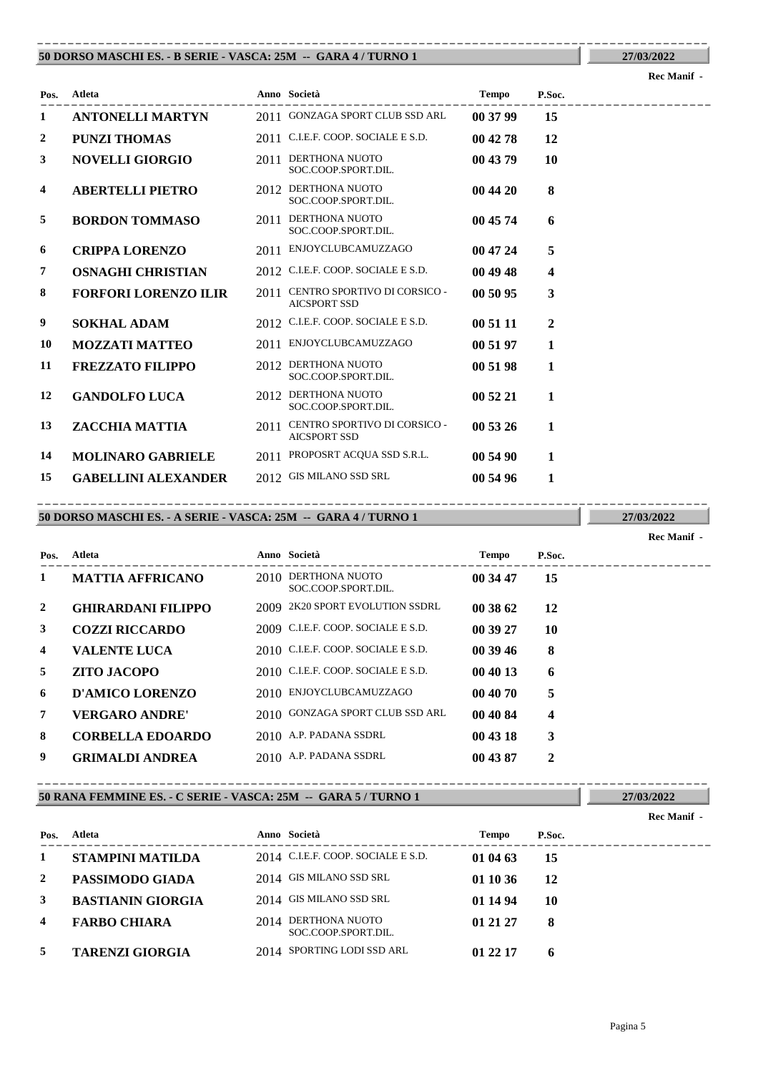### **50 DORSO MASCHI ES. - B SERIE - VASCA: 25M -- GARA 4 / TURNO 1** ----------------------------------------------------------------------------------------

| Pos.         | <b>Atleta</b>               |      | Anno Società                                        | <b>Tempo</b> | P.Soc.       |  |
|--------------|-----------------------------|------|-----------------------------------------------------|--------------|--------------|--|
| 1            | <b>ANTONELLI MARTYN</b>     |      | 2011 GONZAGA SPORT CLUB SSD ARL                     | 00 37 99     | 15           |  |
| $\mathbf{2}$ | <b>PUNZI THOMAS</b>         |      | 2011 C.I.E.F. COOP. SOCIALE E S.D.                  | 00 42 78     | 12           |  |
| 3            | <b>NOVELLI GIORGIO</b>      | 2011 | DERTHONA NUOTO<br>SOC.COOP.SPORT.DIL.               | 00 43 79     | 10           |  |
| 4            | <b>ABERTELLI PIETRO</b>     |      | 2012 DERTHONA NUOTO<br>SOC.COOP.SPORT.DIL.          | 00 44 20     | 8            |  |
| 5            | <b>BORDON TOMMASO</b>       | 2011 | DERTHONA NUOTO<br>SOC.COOP.SPORT.DIL.               | 00 45 74     | 6            |  |
| 6            | <b>CRIPPA LORENZO</b>       | 2011 | ENJOYCLUBCAMUZZAGO                                  | 00 47 24     | 5            |  |
| 7            | <b>OSNAGHI CHRISTIAN</b>    |      | 2012 C.I.E.F. COOP. SOCIALE E S.D.                  | 00 49 48     | 4            |  |
| 8            | <b>FORFORI LORENZO ILIR</b> | 2011 | CENTRO SPORTIVO DI CORSICO -<br><b>AICSPORT SSD</b> | 00 50 95     | 3            |  |
| 9            | <b>SOKHAL ADAM</b>          |      | 2012 C.I.E.F. COOP. SOCIALE E S.D.                  | 00 51 11     | $\mathbf{2}$ |  |
| 10           | <b>MOZZATI MATTEO</b>       |      | 2011 ENJOYCLUBCAMUZZAGO                             | 00 51 97     | 1            |  |
| 11           | <b>FREZZATO FILIPPO</b>     |      | 2012 DERTHONA NUOTO<br>SOC.COOP.SPORT.DIL.          | 00 51 98     | 1            |  |
| 12           | <b>GANDOLFO LUCA</b>        |      | 2012 DERTHONA NUOTO<br>SOC.COOP.SPORT.DIL.          | 00 52 21     | 1            |  |
| 13           | ZACCHIA MATTIA              | 2011 | CENTRO SPORTIVO DI CORSICO -<br><b>AICSPORT SSD</b> | 00 53 26     | 1            |  |
| 14           | <b>MOLINARO GABRIELE</b>    | 2011 | PROPOSRT ACQUA SSD S.R.L.                           | 00 54 90     | 1            |  |
| 15           | <b>GABELLINI ALEXANDER</b>  |      | 2012 GIS MILANO SSD SRL                             | 00 54 96     | 1            |  |

## **50 DORSO MASCHI ES. - A SERIE - VASCA: 25M -- GARA 4 / TURNO 1**

**27/03/2022**

**Rec Manif -** 

| Pos. | Atleta                    |      | Anno Società                          | <b>Tempo</b> | P.Soc. |
|------|---------------------------|------|---------------------------------------|--------------|--------|
| 1    | <b>MATTIA AFFRICANO</b>   | 2010 | DERTHONA NUOTO<br>SOC.COOP.SPORT.DIL. | 00 34 47     | 15     |
| 2    | <b>GHIRARDANI FILIPPO</b> |      | 2009 2K20 SPORT EVOLUTION SSDRL       | 00 38 62     | 12     |
| 3    | <b>COZZI RICCARDO</b>     |      | 2009 C.I.E.F. COOP. SOCIALE E S.D.    | 00 39 27     | 10     |
| 4    | <b>VALENTE LUCA</b>       |      | 2010 C.I.E.F. COOP. SOCIALE E S.D.    | 00 39 46     | 8      |
| 5    | <b>ZITO JACOPO</b>        |      | 2010 C.I.E.F. COOP. SOCIALE E S.D.    | 00 40 13     | 6      |
| 6    | D'AMICO LORENZO           |      | 2010 ENJOYCLUBCAMUZZAGO               | 00 40 70     | 5      |
| 7    | <b>VERGARO ANDRE'</b>     |      | 2010 GONZAGA SPORT CLUB SSD ARL       | 00 40 84     | 4      |
| 8    | <b>CORBELLA EDOARDO</b>   |      | 2010 A.P. PADANA SSDRL                | 00 43 18     | 3      |
| 9    | <b>GRIMALDI ANDREA</b>    |      | 2010 A.P. PADANA SSDRL                | 00 43 87     | 2      |

----------------------------------------------------------------------------------------

### **50 RANA FEMMINE ES. - C SERIE - VASCA: 25M -- GARA 5 / TURNO 1** ----------------------------------------------------------------------------------------

|                         |                          |                                            |          |        | Rec Manif - |
|-------------------------|--------------------------|--------------------------------------------|----------|--------|-------------|
| Pos.                    | Atleta                   | Anno Società                               | Tempo    | P.Soc. |             |
| 1                       | <b>STAMPINI MATILDA</b>  | 2014 C.I.E.F. COOP. SOCIALE E S.D.         | 01 04 63 | 15     |             |
| 2                       | PASSIMODO GIADA          | 2014 GIS MILANO SSD SRL                    | 01 10 36 | 12     |             |
| 3                       | <b>BASTIANIN GIORGIA</b> | 2014 GIS MILANO SSD SRL                    | 01 14 94 | 10     |             |
| $\overline{\mathbf{4}}$ | <b>FARBO CHIARA</b>      | 2014 DERTHONA NUOTO<br>SOC.COOP.SPORT.DIL. | 01 21 27 | 8      |             |
| 5                       | <b>TARENZI GIORGIA</b>   | 2014 SPORTING LODI SSD ARL                 | 01 22 17 | h      |             |

**27/03/2022**

# **27/03/2022 Rec Manif -**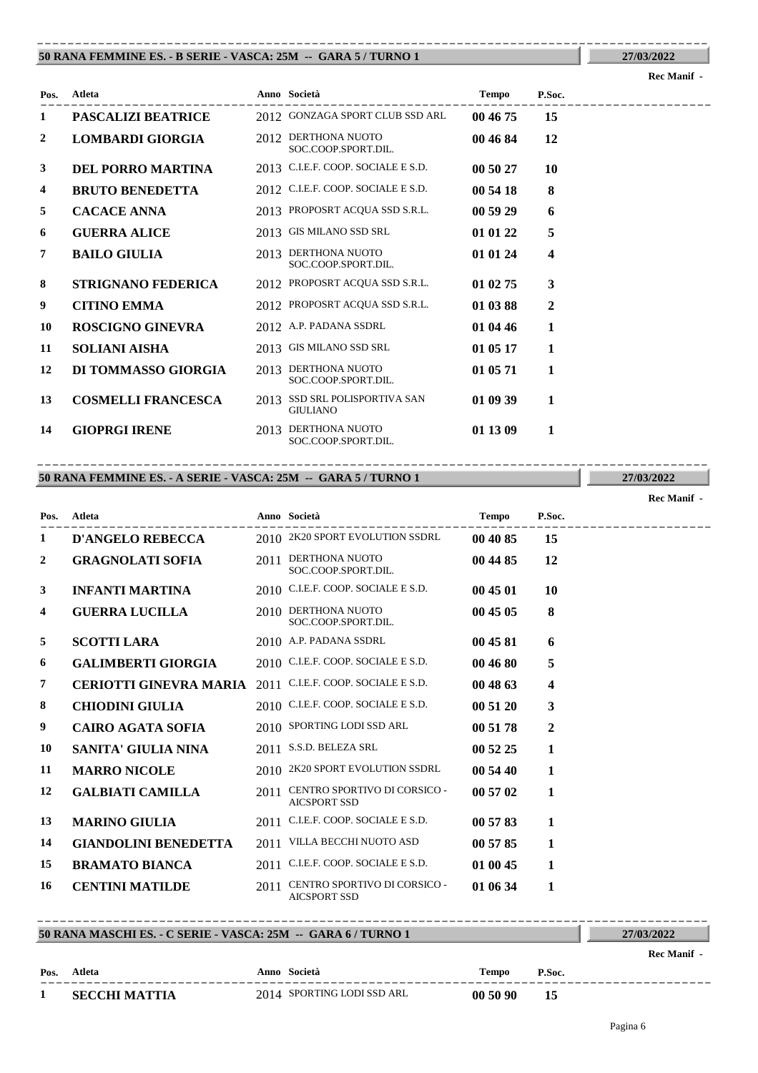### **50 RANA FEMMINE ES. - B SERIE - VASCA: 25M -- GARA 5 / TURNO 1** ----------------------------------------------------------------------------------------

|      |                           |      |                                             |          |              | <b>Rec Manif -</b> |
|------|---------------------------|------|---------------------------------------------|----------|--------------|--------------------|
| Pos. | <b>Atleta</b>             |      | Anno Società                                | Tempo    | P.Soc.       |                    |
| 1    | <b>PASCALIZI BEATRICE</b> |      | 2012 GONZAGA SPORT CLUB SSD ARL             | 00 46 75 | 15           |                    |
| 2    | <b>LOMBARDI GIORGIA</b>   |      | 2012 DERTHONA NUOTO<br>SOC.COOP.SPORT.DIL.  | 00 46 84 | 12           |                    |
| 3    | <b>DEL PORRO MARTINA</b>  |      | 2013 C.I.E.F. COOP. SOCIALE E S.D.          | 00 50 27 | 10           |                    |
| 4    | <b>BRUTO BENEDETTA</b>    |      | 2012 C.I.E.F. COOP. SOCIALE E S.D.          | 00 54 18 | 8            |                    |
| 5    | <b>CACACE ANNA</b>        |      | 2013 PROPOSRT ACQUA SSD S.R.L.              | 00 59 29 | 6            |                    |
| 6    | <b>GUERRA ALICE</b>       |      | 2013 GIS MILANO SSD SRL                     | 01 01 22 | 5            |                    |
| 7    | <b>BAILO GIULIA</b>       |      | 2013 DERTHONA NUOTO<br>SOC.COOP.SPORT.DIL.  | 01 01 24 | 4            |                    |
| 8    | STRIGNANO FEDERICA        |      | 2012 PROPOSRT ACQUA SSD S.R.L.              | 01 02 75 | 3            |                    |
| 9    | <b>CITINO EMMA</b>        |      | 2012 PROPOSRT ACQUA SSD S.R.L.              | 01 03 88 | $\mathbf{2}$ |                    |
| 10   | <b>ROSCIGNO GINEVRA</b>   |      | 2012 A.P. PADANA SSDRL                      | 01 04 46 | 1            |                    |
| 11   | <b>SOLIANI AISHA</b>      |      | 2013 GIS MILANO SSD SRL                     | 01 05 17 | 1            |                    |
| 12   | DI TOMMASSO GIORGIA       | 2013 | DERTHONA NUOTO<br>SOC.COOP.SPORT.DIL.       | 01 05 71 | 1            |                    |
| 13   | <b>COSMELLI FRANCESCA</b> | 2013 | SSD SRL POLISPORTIVA SAN<br><b>GIULIANO</b> | 01 09 39 | 1            |                    |
| 14   | <b>GIOPRGI IRENE</b>      |      | 2013 DERTHONA NUOTO                         | 01 13 09 | 1            |                    |

SOC.COOP.SPORT.DIL.

### **50 RANA FEMMINE ES. - A SERIE - VASCA: 25M -- GARA 5 / TURNO 1** ----------------------------------------------------------------------------------------

**27/03/2022**

**Rec Manif -** 

| Pos.           | Atleta                      |      | Anno Società                                        | <b>Tempo</b> | P.Soc.         |  |
|----------------|-----------------------------|------|-----------------------------------------------------|--------------|----------------|--|
| 1              | <b>D'ANGELO REBECCA</b>     |      | 2010 2K20 SPORT EVOLUTION SSDRL                     | 00 40 85     | 15             |  |
| $\overline{2}$ | <b>GRAGNOLATI SOFIA</b>     |      | 2011 DERTHONA NUOTO<br>SOC.COOP.SPORT.DIL.          | 00 44 85     | 12             |  |
| 3              | <b>INFANTI MARTINA</b>      |      | 2010 C.I.E.F. COOP. SOCIALE E S.D.                  | 00 45 01     | 10             |  |
| 4              | <b>GUERRA LUCILLA</b>       |      | 2010 DERTHONA NUOTO<br>SOC.COOP.SPORT.DIL.          | 00 45 05     | 8              |  |
| 5              | <b>SCOTTI LARA</b>          |      | 2010 A.P. PADANA SSDRL                              | 00 45 81     | 6              |  |
| 6              | <b>GALIMBERTI GIORGIA</b>   |      | 2010 C.I.E.F. COOP. SOCIALE E S.D.                  | 00 46 80     | 5              |  |
| 7              | CERIOTTI GINEVRA MARIA      |      | 2011 C.I.E.F. COOP. SOCIALE E S.D.                  | 00 48 63     | 4              |  |
| 8              | <b>CHIODINI GIULIA</b>      |      | 2010 C.I.E.F. COOP. SOCIALE E S.D.                  | 005120       | 3              |  |
| 9              | <b>CAIRO AGATA SOFIA</b>    |      | 2010 SPORTING LODI SSD ARL                          | 00 51 78     | $\overline{2}$ |  |
| 10             | SANITA' GIULIA NINA         |      | 2011 S.S.D. BELEZA SRL                              | 00 52 25     | 1              |  |
| 11             | <b>MARRO NICOLE</b>         |      | 2010 2K20 SPORT EVOLUTION SSDRL                     | 00 54 40     | 1              |  |
| 12             | <b>GALBIATI CAMILLA</b>     | 2011 | CENTRO SPORTIVO DI CORSICO -<br><b>AICSPORT SSD</b> | 00 57 02     | 1              |  |
| 13             | <b>MARINO GIULIA</b>        | 2011 | C.I.E.F. COOP. SOCIALE E S.D.                       | 00 57 83     | 1              |  |
| 14             | <b>GIANDOLINI BENEDETTA</b> |      | 2011 VILLA BECCHI NUOTO ASD                         | 00 57 85     | 1              |  |
| 15             | <b>BRAMATO BIANCA</b>       |      | 2011 C.I.E.F. COOP. SOCIALE E S.D.                  | 01 00 45     | 1              |  |
| 16             | <b>CENTINI MATILDE</b>      | 2011 | CENTRO SPORTIVO DI CORSICO -<br><b>AICSPORT SSD</b> | 01 06 34     | 1              |  |

### **50 RANA MASCHI ES. - C SERIE - VASCA: 25M -- GARA 6 / TURNO 1** ----------------------------------------------------------------------------------------

|              |                      |                            |          |        | Rec Manif - |
|--------------|----------------------|----------------------------|----------|--------|-------------|
|              | Pos. Atleta          | Anno Società               | Tempo    | P.Soc. |             |
| $\mathbf{r}$ | <b>SECCHI MATTIA</b> | 2014 SPORTING LODI SSD ARL | 00 50 90 | -15    |             |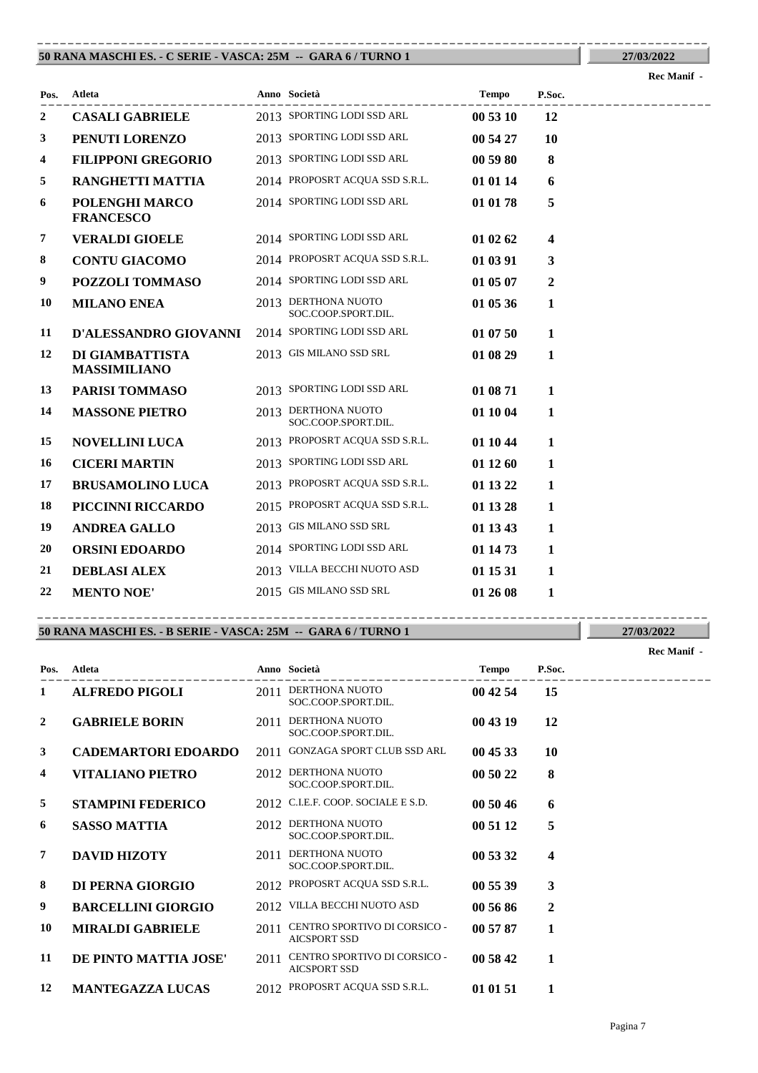### **50 RANA MASCHI ES. - C SERIE - VASCA: 25M -- GARA 6 / TURNO 1** ----------------------------------------------------------------------------------------

| 27/03/2022  |  |
|-------------|--|
| Rec Manif - |  |

| Pos. | Atleta                                 | Anno Società                               | <b>Tempo</b> | P.Soc.       |  |
|------|----------------------------------------|--------------------------------------------|--------------|--------------|--|
| 2    | <b>CASALI GABRIELE</b>                 | 2013 SPORTING LODI SSD ARL                 | 00 53 10     | 12           |  |
| 3    | PENUTI LORENZO                         | 2013 SPORTING LODI SSD ARL                 | 00 54 27     | 10           |  |
| 4    | <b>FILIPPONI GREGORIO</b>              | 2013 SPORTING LODI SSD ARL                 | 00 59 80     | 8            |  |
| 5    | <b>RANGHETTI MATTIA</b>                | 2014 PROPOSRT ACQUA SSD S.R.L.             | 01 01 14     | 6            |  |
| 6    | POLENGHI MARCO<br><b>FRANCESCO</b>     | 2014 SPORTING LODI SSD ARL                 | 01 01 78     | 5            |  |
| 7    | <b>VERALDI GIOELE</b>                  | 2014 SPORTING LODI SSD ARL                 | 01 02 62     | 4            |  |
| 8    | <b>CONTU GIACOMO</b>                   | 2014 PROPOSRT ACQUA SSD S.R.L.             | 01 03 91     | 3            |  |
| 9    | POZZOLI TOMMASO                        | 2014 SPORTING LODI SSD ARL                 | 01 05 07     | $\mathbf{2}$ |  |
| 10   | <b>MILANO ENEA</b>                     | 2013 DERTHONA NUOTO<br>SOC.COOP.SPORT.DIL. | 01 05 36     | 1            |  |
| 11   | D'ALESSANDRO GIOVANNI                  | 2014 SPORTING LODI SSD ARL                 | 01 07 50     | $\mathbf{1}$ |  |
| 12   | DI GIAMBATTISTA<br><b>MASSIMILIANO</b> | 2013 GIS MILANO SSD SRL                    | 01 08 29     | 1            |  |
| 13   | PARISI TOMMASO                         | 2013 SPORTING LODI SSD ARL                 | 01 08 71     | 1            |  |
| 14   | <b>MASSONE PIETRO</b>                  | 2013 DERTHONA NUOTO<br>SOC.COOP.SPORT.DIL. | 01 10 04     | 1            |  |
| 15   | <b>NOVELLINI LUCA</b>                  | 2013 PROPOSRT ACQUA SSD S.R.L.             | 01 10 44     | 1            |  |
| 16   | <b>CICERI MARTIN</b>                   | 2013 SPORTING LODI SSD ARL                 | 01 12 60     | 1            |  |
| 17   | <b>BRUSAMOLINO LUCA</b>                | 2013 PROPOSRT ACQUA SSD S.R.L.             | 01 13 22     | 1            |  |
| 18   | PICCINNI RICCARDO                      | 2015 PROPOSRT ACQUA SSD S.R.L.             | 01 13 28     | 1            |  |
| 19   | <b>ANDREA GALLO</b>                    | 2013 GIS MILANO SSD SRL                    | 01 13 43     | $\mathbf{1}$ |  |
| 20   | <b>ORSINI EDOARDO</b>                  | 2014 SPORTING LODI SSD ARL                 | 01 14 73     | 1            |  |
| 21   | <b>DEBLASI ALEX</b>                    | 2013 VILLA BECCHI NUOTO ASD                | 01 15 31     | 1            |  |
| 22   | <b>MENTO NOE'</b>                      | 2015 GIS MILANO SSD SRL                    | 01 26 08     | 1            |  |

### **50 RANA MASCHI ES. - B SERIE - VASCA: 25M -- GARA 6 / TURNO 1** ----------------------------------------------------------------------------------------

---------------------------------------------------------------------------------------- **Atleta Anno Società Tempo P.Soc. Pos. Rec Manif - 1 ALFREDO PIGOLI** 2011 **DERTHONA NUOTO 00 42 54 15** SOC.COOP.SPORT.DIL. **2 GABRIELE BORIN** 2011 **DERTHONA NUOTO 00 43 19** 12 SOC.COOP.SPORT.DIL. **3 CADEMARTORI EDOARDO** 2011 GONZAGA SPORT CLUB SSD ARL **00 45 33 10** 2012 DERTHONA NUOTO SOC.COOP.SPORT.DIL. **4 VITALIANO PIETRO** 2012 **00 50 22 8 5 STAMPINI FEDERICO** 2012 C.I.E.F. COOP. SOCIALE E S.D. **00 50 46 6 6 SASSO MATTIA** 2012 **DERTHONA NUOTO 00 51 12 5** SOC.COOP.SPORT.DIL. **7 DAVID HIZOTY** 2011 **DERTHONA NUOTO 00 53 32 4** SOC.COOP.SPORT.DIL. **8 DI PERNA GIORGIO** 2012 PROPOSRT ACQUA SSD S.R.L. **00 55 39 3 9 BARCELLINI GIORGIO** 2012 VILLA BECCHI NUOTO ASD **00 56 86 2 10 MIRALDI GABRIELE** 2011 **CENTRO SPORTIVO DI CORSICO - 00 57 87 1** AICSPORT SSD 11 **DE PINTO MATTIA JOSE'** 2011 **CENTRO SPORTIVO DI CORSICO** - **00 58 42** 1 AICSPORT SSD **12 MANTEGAZZA LUCAS** 2012 PROPOSRT ACQUA SSD S.R.L. **01 01 51 1**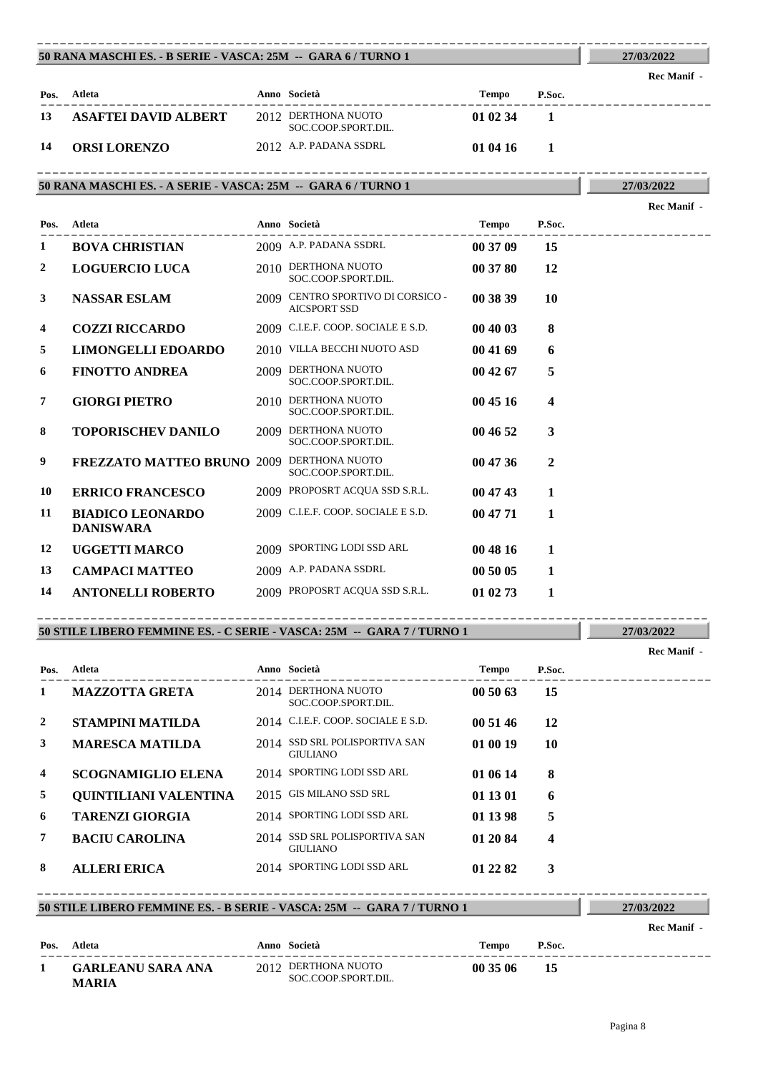|      | 50 RANA MASCHI ES. - B SERIE - VASCA: 25M -- GARA 6 / TURNO 1 |                                            |          |        | 27/03/2022  |
|------|---------------------------------------------------------------|--------------------------------------------|----------|--------|-------------|
|      |                                                               |                                            |          |        | Rec Manif - |
| Pos. | Atleta                                                        | Anno Società                               | Tempo    | P.Soc. |             |
| 13   | <b>ASAFTEI DAVID ALBERT</b>                                   | 2012 DERTHONA NUOTO<br>SOC.COOP.SPORT.DIL. | 01 02 34 |        |             |
| -14  | <b>ORSI LORENZO</b>                                           | 2012 A.P. PADANA SSDRL                     | 01 04 16 |        |             |

----------------------------------------------------------------------------------------

----------------------------------------------------------------------------------------

# **50 RANA MASCHI ES. - A SERIE - VASCA: 25M -- GARA 6 / TURNO 1**

|                  |                                             |                                                          |              |              | Rec Manif - |
|------------------|---------------------------------------------|----------------------------------------------------------|--------------|--------------|-------------|
| Pos.             | <b>Atleta</b>                               | Anno Società                                             | <b>Tempo</b> | P.Soc.       |             |
| 1                | <b>BOVA CHRISTIAN</b>                       | 2009 A.P. PADANA SSDRL                                   | 00 37 09     | 15           |             |
| $\boldsymbol{2}$ | <b>LOGUERCIO LUCA</b>                       | 2010 DERTHONA NUOTO<br>SOC.COOP.SPORT.DIL.               | 00 37 80     | 12           |             |
| 3                | <b>NASSAR ESLAM</b>                         | 2009 CENTRO SPORTIVO DI CORSICO -<br><b>AICSPORT SSD</b> | 00 38 39     | 10           |             |
| 4                | <b>COZZI RICCARDO</b>                       | 2009 C.I.E.F. COOP. SOCIALE E S.D.                       | 00 40 03     | 8            |             |
| 5                | LIMONGELLI EDOARDO                          | 2010 VILLA BECCHI NUOTO ASD                              | 00 41 69     | 6            |             |
| 6                | <b>FINOTTO ANDREA</b>                       | 2009 DERTHONA NUOTO<br>SOC.COOP.SPORT.DIL.               | 00 42 67     | 5            |             |
| 7                | <b>GIORGI PIETRO</b>                        | 2010 DERTHONA NUOTO<br>SOC.COOP.SPORT.DIL.               | 00 45 16     | 4            |             |
| 8                | <b>TOPORISCHEV DANILO</b>                   | 2009 DERTHONA NUOTO<br>SOC.COOP.SPORT.DIL.               | 00 46 52     | 3            |             |
| 9                | <b>FREZZATO MATTEO BRUNO 2009</b>           | DERTHONA NUOTO<br>SOC.COOP.SPORT.DIL.                    | 00 47 36     | $\mathbf{2}$ |             |
| 10               | <b>ERRICO FRANCESCO</b>                     | 2009 PROPOSRT ACQUA SSD S.R.L.                           | 00 47 43     | 1            |             |
| 11               | <b>BIADICO LEONARDO</b><br><b>DANISWARA</b> | 2009 C.I.E.F. COOP. SOCIALE E S.D.                       | 00 47 71     | 1            |             |
| 12               | <b>UGGETTI MARCO</b>                        | 2009 SPORTING LODI SSD ARL                               | 00 48 16     | 1            |             |
| 13               | <b>CAMPACI MATTEO</b>                       | 2009 A.P. PADANA SSDRL                                   | 00 50 05     | 1            |             |
| 14               | <b>ANTONELLI ROBERTO</b>                    | 2009 PROPOSRT ACQUA SSD S.R.L.                           | 01 02 73     | 1            |             |

# **50 STILE LIBERO FEMMINE ES. - C SERIE - VASCA: 25M -- GARA 7 / TURNO 1**

----------------------------------------------------------------------------------------

|                |                           |                                                  |              |        | Rec Manif - |
|----------------|---------------------------|--------------------------------------------------|--------------|--------|-------------|
| Pos.           | Atleta                    | Anno Società                                     | <b>Tempo</b> | P.Soc. |             |
| 1              | <b>MAZZOTTA GRETA</b>     | 2014 DERTHONA NUOTO<br>SOC.COOP.SPORT.DIL.       | 005063       | 15     |             |
| 2              | <b>STAMPINI MATILDA</b>   | 2014 C.I.E.F. COOP. SOCIALE E S.D.               | 00 51 46     | 12     |             |
| 3              | <b>MARESCA MATILDA</b>    | 2014 SSD SRL POLISPORTIVA SAN<br><b>GIULIANO</b> | 01 00 19     | 10     |             |
| $\overline{4}$ | <b>SCOGNAMIGLIO ELENA</b> | 2014 SPORTING LODI SSD ARL                       | 01 06 14     | 8      |             |
| 5              | QUINTILIANI VALENTINA     | 2015 GIS MILANO SSD SRL                          | 01 13 01     | 6      |             |
| 6              | <b>TARENZI GIORGIA</b>    | 2014 SPORTING LODI SSD ARL                       | 01 13 98     | 5      |             |
| 7              | <b>BACIU CAROLINA</b>     | 2014 SSD SRL POLISPORTIVA SAN<br><b>GIULIANO</b> | 01 20 84     | 4      |             |
| 8              | <b>ALLERI ERICA</b>       | 2014 SPORTING LODI SSD ARL                       | 01 22 82     | 3      |             |

### **50 STILE LIBERO FEMMINE ES. - B SERIE - VASCA: 25M -- GARA 7 / TURNO 1** ----------------------------------------------------------------------------------------

| 27/03/2022  |  |
|-------------|--|
| Rec Manif - |  |

**27/03/2022**

**27/03/2022**

| Pos. Atleta                       | Anno Società                               | Tempo    | P.Soc. |
|-----------------------------------|--------------------------------------------|----------|--------|
| <b>GARLEANU SARA ANA</b><br>MARIA | 2012 DERTHONA NUOTO<br>SOC.COOP.SPORT.DIL. | 00 35 06 | 15     |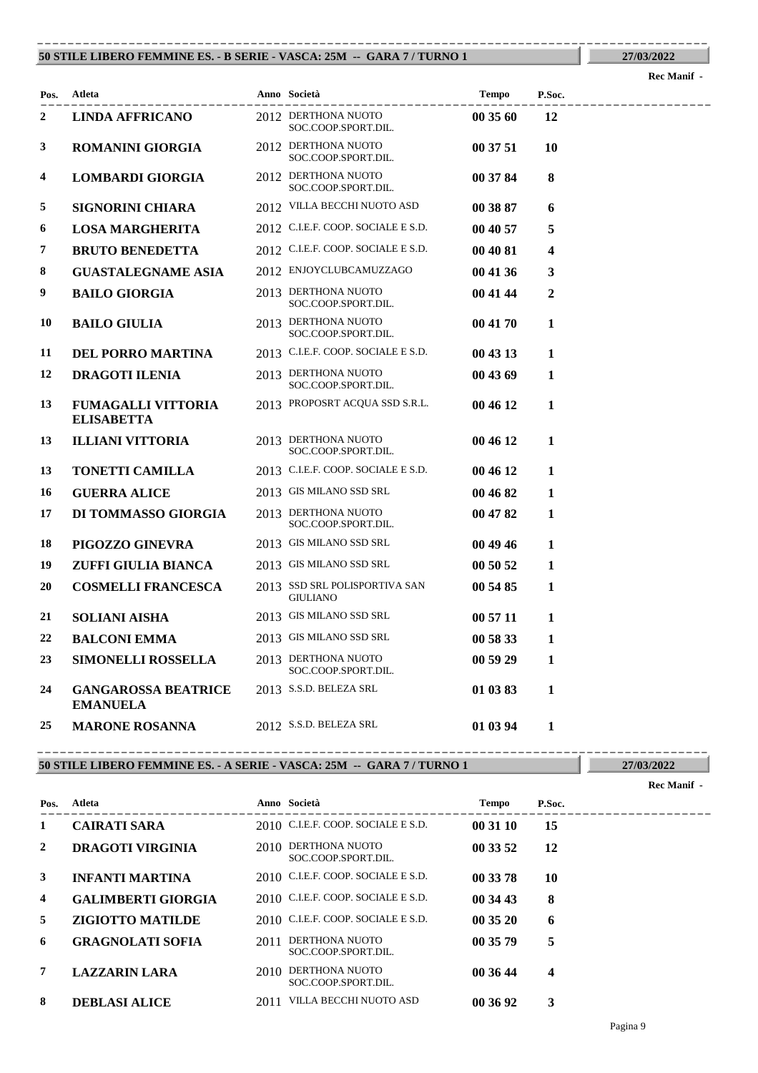### **50 STILE LIBERO FEMMINE ES. - B SERIE - VASCA: 25M -- GARA 7 / TURNO 1** ----------------------------------------------------------------------------------------

**Rec Manif -** 

**27/03/2022**

| Pos. | Atleta                                                      | Anno Società                                                      | Tempo    | P.Soc. |                  |
|------|-------------------------------------------------------------|-------------------------------------------------------------------|----------|--------|------------------|
| 2    | . _ _ _ _ _ _ _ _ _ _ _ _ _ _ _ _<br><b>LINDA AFFRICANO</b> | -------------------<br>2012 DERTHONA NUOTO<br>SOC.COOP.SPORT.DIL. | 00 35 60 | 12     | ---------------- |
| 3    | <b>ROMANINI GIORGIA</b>                                     | 2012 DERTHONA NUOTO<br>SOC.COOP.SPORT.DIL.                        | 00 37 51 | 10     |                  |
| 4    | <b>LOMBARDI GIORGIA</b>                                     | 2012 DERTHONA NUOTO<br>SOC.COOP.SPORT.DIL.                        | 00 37 84 | 8      |                  |
| 5    | <b>SIGNORINI CHIARA</b>                                     | 2012 VILLA BECCHI NUOTO ASD                                       | 00 38 87 | 6      |                  |
| 6    | <b>LOSA MARGHERITA</b>                                      | 2012 C.I.E.F. COOP. SOCIALE E S.D.                                | 00 40 57 | 5      |                  |
| 7    | <b>BRUTO BENEDETTA</b>                                      | 2012 C.I.E.F. COOP. SOCIALE E S.D.                                | 00 40 81 | 4      |                  |
| 8    | <b>GUASTALEGNAME ASIA</b>                                   | 2012 ENJOYCLUBCAMUZZAGO                                           | 00 41 36 | 3      |                  |
| 9    | <b>BAILO GIORGIA</b>                                        | 2013 DERTHONA NUOTO<br>SOC.COOP.SPORT.DIL.                        | 00 41 44 | 2      |                  |
| 10   | <b>BAILO GIULIA</b>                                         | 2013 DERTHONA NUOTO<br>SOC.COOP.SPORT.DIL.                        | 00 41 70 | 1      |                  |
| 11   | <b>DEL PORRO MARTINA</b>                                    | 2013 C.I.E.F. COOP. SOCIALE E S.D.                                | 00 43 13 | 1      |                  |
| 12   | <b>DRAGOTI ILENIA</b>                                       | 2013 DERTHONA NUOTO<br>SOC.COOP.SPORT.DIL.                        | 00 43 69 | 1      |                  |
| 13   | <b>FUMAGALLI VITTORIA</b><br><b>ELISABETTA</b>              | 2013 PROPOSRT ACQUA SSD S.R.L.                                    | 00 46 12 | 1      |                  |
| 13   | <b>ILLIANI VITTORIA</b>                                     | 2013 DERTHONA NUOTO<br>SOC.COOP.SPORT.DIL.                        | 00 46 12 | 1      |                  |
| 13   | <b>TONETTI CAMILLA</b>                                      | 2013 C.I.E.F. COOP. SOCIALE E S.D.                                | 00 46 12 | 1      |                  |
| 16   | <b>GUERRA ALICE</b>                                         | 2013 GIS MILANO SSD SRL                                           | 00 46 82 | 1      |                  |
| 17   | DI TOMMASSO GIORGIA                                         | 2013 DERTHONA NUOTO<br>SOC.COOP.SPORT.DIL.                        | 00 47 82 | 1      |                  |
| 18   | PIGOZZO GINEVRA                                             | 2013 GIS MILANO SSD SRL                                           | 00 49 46 | 1      |                  |
| 19   | ZUFFI GIULIA BIANCA                                         | 2013 GIS MILANO SSD SRL                                           | 00 50 52 | 1      |                  |
| 20   | <b>COSMELLI FRANCESCA</b>                                   | 2013 SSD SRL POLISPORTIVA SAN<br><b>GIULIANO</b>                  | 00 54 85 | 1      |                  |
| 21   | <b>SOLIANI AISHA</b>                                        | 2013 GIS MILANO SSD SRL                                           | 00 57 11 | 1      |                  |
| 22   | <b>BALCONI EMMA</b>                                         | 2013 GIS MILANO SSD SRL                                           | 00 58 33 | 1      |                  |
| 23   | <b>SIMONELLI ROSSELLA</b>                                   | 2013 DERTHONA NUOTO<br>SOC.COOP.SPORT.DIL.                        | 00 59 29 | 1      |                  |
| 24   | <b>GANGAROSSA BEATRICE</b><br><b>EMANUELA</b>               | 2013 S.S.D. BELEZA SRL                                            | 01 03 83 | 1      |                  |
| 25   | <b>MARONE ROSANNA</b>                                       | 2012 S.S.D. BELEZA SRL                                            | 01 03 94 | 1      |                  |

### **50 STILE LIBERO FEMMINE ES. - A SERIE - VASCA: 25M -- GARA 7 / TURNO 1**

**27/03/2022 Rec Manif -** 

| Pos.           | Atleta                    |      | Anno Società                          | Tempo    | P.Soc.                  |  |
|----------------|---------------------------|------|---------------------------------------|----------|-------------------------|--|
| 1              | <b>CAIRATI SARA</b>       |      | 2010 C.I.E.F. COOP. SOCIALE E S.D.    | 00 31 10 | 15                      |  |
| 2              | <b>DRAGOTI VIRGINIA</b>   | 2010 | DERTHONA NUOTO<br>SOC.COOP.SPORT.DIL. | 00 33 52 | 12                      |  |
| 3              | <b>INFANTI MARTINA</b>    |      | 2010 C.I.E.F. COOP. SOCIALE E S.D.    | 00 33 78 | 10                      |  |
| $\overline{4}$ | <b>GALIMBERTI GIORGIA</b> |      | 2010 C.I.E.F. COOP. SOCIALE E S.D.    | 00 34 43 | 8                       |  |
| 5              | <b>ZIGIOTTO MATILDE</b>   |      | 2010 C.I.E.F. COOP. SOCIALE E S.D.    | 00 35 20 | 6                       |  |
| 6              | <b>GRAGNOLATI SOFIA</b>   | 2011 | DERTHONA NUOTO<br>SOC.COOP.SPORT.DIL. | 00 35 79 | 5                       |  |
| 7              | <b>LAZZARIN LARA</b>      | 2010 | DERTHONA NUOTO<br>SOC.COOP.SPORT.DIL. | 00 36 44 | $\overline{\mathbf{4}}$ |  |
| 8              | <b>DEBLASI ALICE</b>      | 2011 | VILLA BECCHI NUOTO ASD                | 00 36 92 | 3                       |  |

----------------------------------------------------------------------------------------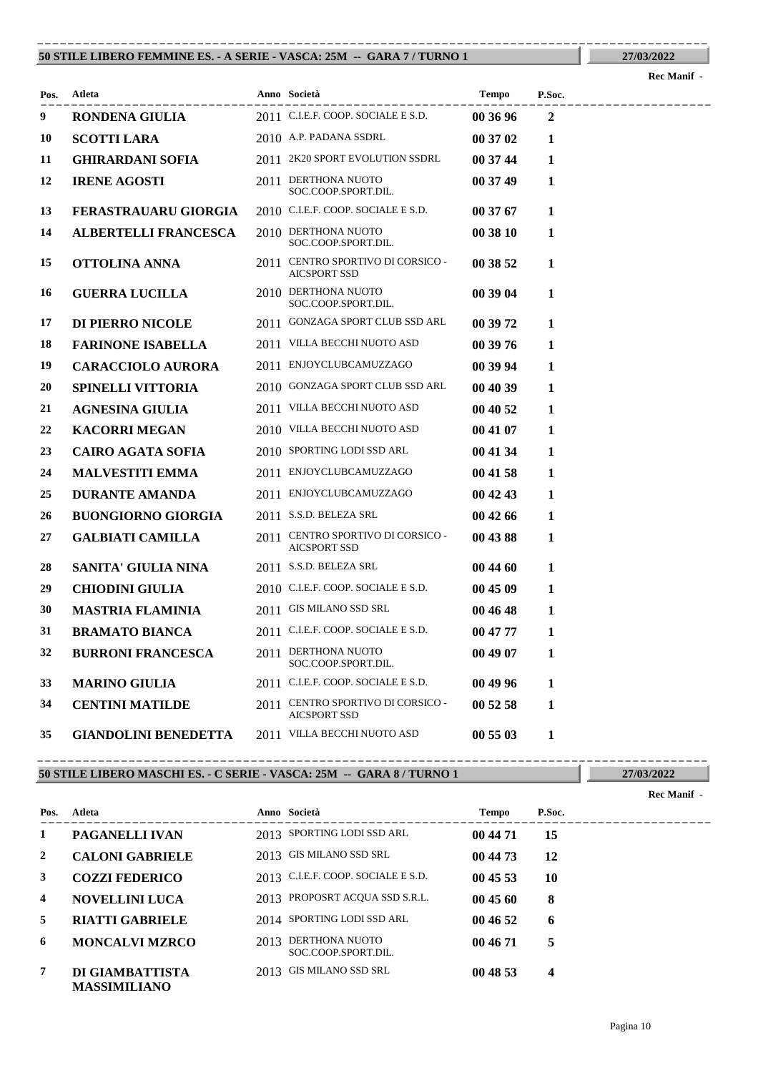### **50 STILE LIBERO FEMMINE ES. - A SERIE - VASCA: 25M -- GARA 7 / TURNO 1** ----------------------------------------------------------------------------------------

**Rec Manif -** 

**27/03/2022**

| Pos. | Atleta                      | Anno Società                                             | Tempo    | P.Soc.         | ------------ |
|------|-----------------------------|----------------------------------------------------------|----------|----------------|--------------|
| 9    | RONDENA GIULIA              | 2011 C.I.E.F. COOP. SOCIALE E S.D.                       | 00 36 96 | $\overline{2}$ |              |
| 10   | <b>SCOTTI LARA</b>          | 2010 A.P. PADANA SSDRL                                   | 00 37 02 | 1              |              |
| 11   | <b>GHIRARDANI SOFIA</b>     | 2011 2K20 SPORT EVOLUTION SSDRL                          | 00 37 44 | 1              |              |
| 12   | <b>IRENE AGOSTI</b>         | 2011 DERTHONA NUOTO<br>SOC.COOP.SPORT.DIL.               | 00 37 49 | 1              |              |
| 13   | <b>FERASTRAUARU GIORGIA</b> | 2010 C.I.E.F. COOP. SOCIALE E S.D.                       | 00 37 67 | 1              |              |
| 14   | <b>ALBERTELLI FRANCESCA</b> | 2010 DERTHONA NUOTO<br>SOC.COOP.SPORT.DIL.               | 00 38 10 | 1              |              |
| 15   | OTTOLINA ANNA               | 2011 CENTRO SPORTIVO DI CORSICO -<br><b>AICSPORT SSD</b> | 00 38 52 | 1              |              |
| 16   | <b>GUERRA LUCILLA</b>       | 2010 DERTHONA NUOTO<br>SOC.COOP.SPORT.DIL.               | 00 39 04 | 1              |              |
| 17   | DI PIERRO NICOLE            | 2011 GONZAGA SPORT CLUB SSD ARL                          | 00 39 72 | 1              |              |
| 18   | <b>FARINONE ISABELLA</b>    | 2011 VILLA BECCHI NUOTO ASD                              | 00 39 76 | 1              |              |
| 19   | <b>CARACCIOLO AURORA</b>    | 2011 ENJOYCLUBCAMUZZAGO                                  | 00 39 94 | 1              |              |
| 20   | <b>SPINELLI VITTORIA</b>    | 2010 GONZAGA SPORT CLUB SSD ARL                          | 00 40 39 | 1              |              |
| 21   | <b>AGNESINA GIULIA</b>      | 2011 VILLA BECCHI NUOTO ASD                              | 00 40 52 | 1              |              |
| 22   | <b>KACORRI MEGAN</b>        | 2010 VILLA BECCHI NUOTO ASD                              | 00 41 07 | 1              |              |
| 23   | <b>CAIRO AGATA SOFIA</b>    | 2010 SPORTING LODI SSD ARL                               | 00 41 34 | 1              |              |
| 24   | <b>MALVESTITI EMMA</b>      | 2011 ENJOYCLUBCAMUZZAGO                                  | 00 41 58 | 1              |              |
| 25   | <b>DURANTE AMANDA</b>       | 2011 ENJOYCLUBCAMUZZAGO                                  | 00 42 43 | 1              |              |
| 26   | <b>BUONGIORNO GIORGIA</b>   | 2011 S.S.D. BELEZA SRL                                   | 00 42 66 | 1              |              |
| 27   | <b>GALBIATI CAMILLA</b>     | 2011 CENTRO SPORTIVO DI CORSICO -<br><b>AICSPORT SSD</b> | 00 43 88 | 1              |              |
| 28   | SANITA' GIULIA NINA         | 2011 S.S.D. BELEZA SRL                                   | 00 44 60 | 1              |              |
| 29   | <b>CHIODINI GIULIA</b>      | 2010 C.I.E.F. COOP. SOCIALE E S.D.                       | 00 45 09 | 1              |              |
| 30   | <b>MASTRIA FLAMINIA</b>     | 2011 GIS MILANO SSD SRL                                  | 00 46 48 | 1              |              |
| 31   | <b>BRAMATO BIANCA</b>       | 2011 C.I.E.F. COOP. SOCIALE E S.D.                       | 00 47 77 | 1              |              |
| 32   | <b>BURRONI FRANCESCA</b>    | 2011 DERTHONA NUOTO<br>SOC.COOP.SPORT.DIL.               | 00 49 07 | 1              |              |
| 33   | <b>MARINO GIULIA</b>        | 2011 C.I.E.F. COOP. SOCIALE E S.D.                       | 00 49 96 | 1              |              |
| 34   | <b>CENTINI MATILDE</b>      | 2011 CENTRO SPORTIVO DI CORSICO -<br><b>AICSPORT SSD</b> | 00 52 58 | 1              |              |
| 35   | <b>GIANDOLINI BENEDETTA</b> | 2011 VILLA BECCHI NUOTO ASD                              | 00 55 03 | 1              |              |

### **50 STILE LIBERO MASCHI ES. - C SERIE - VASCA: 25M -- GARA 8 / TURNO 1** ----------------------------------------------------------------------------------------

**27/03/2022 Rec Manif -** 

| Pos. | Atleta                                 |      | Anno Società                          | Tempo    | P.Soc. |  |
|------|----------------------------------------|------|---------------------------------------|----------|--------|--|
| 1    | <b>PAGANELLI IVAN</b>                  |      | 2013 SPORTING LODI SSD ARL            | 00 44 71 | 15     |  |
| 2    | <b>CALONI GABRIELE</b>                 |      | 2013 GIS MILANO SSD SRL               | 00 44 73 | 12     |  |
| 3    | <b>COZZI FEDERICO</b>                  |      | 2013 C.I.E.F. COOP. SOCIALE E S.D.    | 004553   | 10     |  |
| 4    | <b>NOVELLINI LUCA</b>                  |      | 2013 PROPOSRT ACQUA SSD S.R.L.        | 00 45 60 | 8      |  |
| 5    | <b>RIATTI GABRIELE</b>                 |      | 2014 SPORTING LODI SSD ARL            | 00 46 52 | 6      |  |
| 6    | <b>MONCALVI MZRCO</b>                  | 2013 | DERTHONA NUOTO<br>SOC.COOP.SPORT.DIL. | 00 46 71 | 5      |  |
| 7    | DI GIAMBATTISTA<br><b>MASSIMILIANO</b> |      | 2013 GIS MILANO SSD SRL               | 00 48 53 | 4      |  |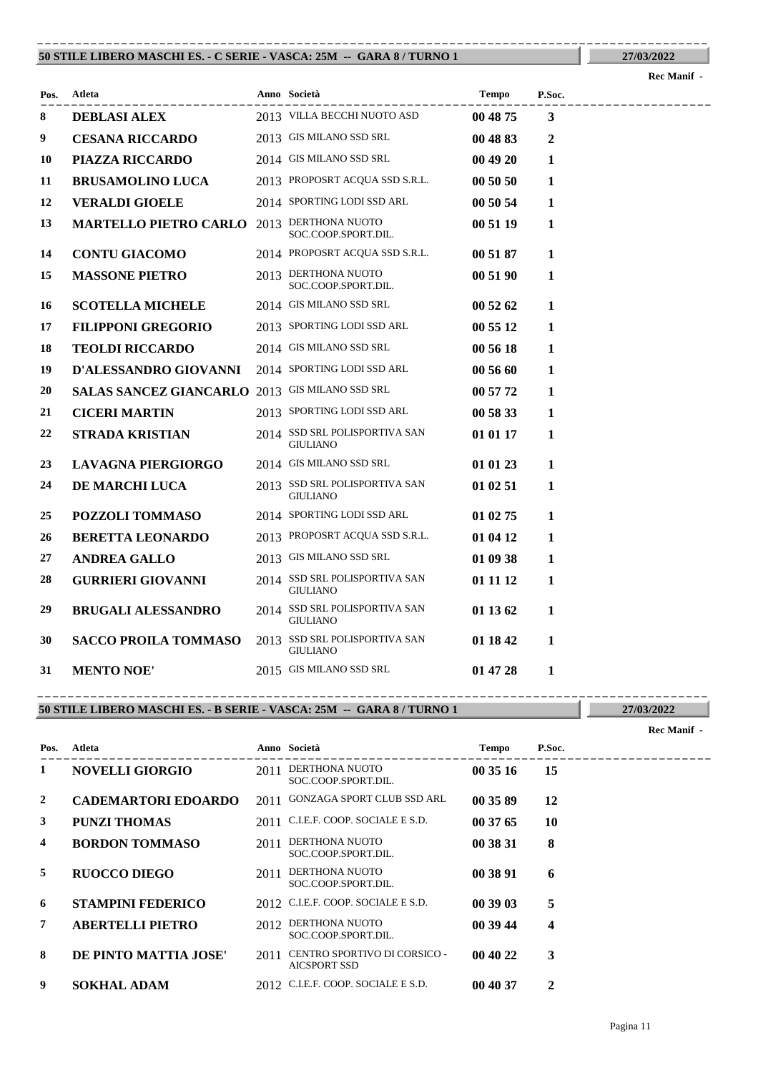### **50 STILE LIBERO MASCHI ES. - C SERIE - VASCA: 25M -- GARA 8 / TURNO 1** ----------------------------------------------------------------------------------------

**Rec Manif -** 

**27/03/2022**

| Pos. | Atleta<br>------------------                   | Anno Società<br>-----------------                | <b>Tempo</b> | P.Soc.       |  |  |  |  |  |  |                |
|------|------------------------------------------------|--------------------------------------------------|--------------|--------------|--|--|--|--|--|--|----------------|
| 8    | <b>DEBLASI ALEX</b>                            | 2013 VILLA BECCHI NUOTO ASD                      | 00 48 75     | 3            |  |  |  |  |  |  | -------------- |
| 9    | <b>CESANA RICCARDO</b>                         | 2013 GIS MILANO SSD SRL                          | 00 48 83     | $\mathbf{2}$ |  |  |  |  |  |  |                |
| 10   | PIAZZA RICCARDO                                | 2014 GIS MILANO SSD SRL                          | 00 49 20     | 1            |  |  |  |  |  |  |                |
| 11   | <b>BRUSAMOLINO LUCA</b>                        | 2013 PROPOSRT ACQUA SSD S.R.L.                   | 00 50 50     | 1            |  |  |  |  |  |  |                |
| 12   | <b>VERALDI GIOELE</b>                          | 2014 SPORTING LODI SSD ARL                       | 00 50 54     | 1            |  |  |  |  |  |  |                |
| 13   | <b>MARTELLO PIETRO CARLO</b>                   | 2013 DERTHONA NUOTO<br>SOC.COOP.SPORT.DIL.       | 00 51 19     | $\mathbf{1}$ |  |  |  |  |  |  |                |
| 14   | <b>CONTU GIACOMO</b>                           | 2014 PROPOSRT ACQUA SSD S.R.L.                   | 00 51 87     | 1            |  |  |  |  |  |  |                |
| 15   | <b>MASSONE PIETRO</b>                          | 2013 DERTHONA NUOTO<br>SOC.COOP.SPORT.DIL.       | 00 51 90     | $\mathbf{1}$ |  |  |  |  |  |  |                |
| 16   | <b>SCOTELLA MICHELE</b>                        | 2014 GIS MILANO SSD SRL                          | 00 52 62     | 1            |  |  |  |  |  |  |                |
| 17   | <b>FILIPPONI GREGORIO</b>                      | 2013 SPORTING LODI SSD ARL                       | 00 55 12     | $\mathbf{1}$ |  |  |  |  |  |  |                |
| 18   | <b>TEOLDI RICCARDO</b>                         | 2014 GIS MILANO SSD SRL                          | 00 56 18     | 1            |  |  |  |  |  |  |                |
| 19   | D'ALESSANDRO GIOVANNI                          | 2014 SPORTING LODI SSD ARL                       | 00 56 60     | 1            |  |  |  |  |  |  |                |
| 20   | SALAS SANCEZ GIANCARLO 2013 GIS MILANO SSD SRL |                                                  | 00 57 72     | 1            |  |  |  |  |  |  |                |
| 21   | <b>CICERI MARTIN</b>                           | 2013 SPORTING LODI SSD ARL                       | 00 58 33     | 1            |  |  |  |  |  |  |                |
| 22   | <b>STRADA KRISTIAN</b>                         | 2014 SSD SRL POLISPORTIVA SAN<br><b>GIULIANO</b> | 01 01 17     | $\mathbf{1}$ |  |  |  |  |  |  |                |
| 23   | <b>LAVAGNA PIERGIORGO</b>                      | 2014 GIS MILANO SSD SRL                          | 01 01 23     | 1            |  |  |  |  |  |  |                |
| 24   | DE MARCHI LUCA                                 | 2013 SSD SRL POLISPORTIVA SAN<br><b>GIULIANO</b> | 01 02 51     | 1            |  |  |  |  |  |  |                |
| 25   | POZZOLI TOMMASO                                | 2014 SPORTING LODI SSD ARL                       | 01 02 75     | $\mathbf{1}$ |  |  |  |  |  |  |                |
| 26   | <b>BERETTA LEONARDO</b>                        | 2013 PROPOSRT ACQUA SSD S.R.L.                   | 01 04 12     | 1            |  |  |  |  |  |  |                |
| 27   | <b>ANDREA GALLO</b>                            | 2013 GIS MILANO SSD SRL                          | 01 09 38     | 1            |  |  |  |  |  |  |                |
| 28   | <b>GURRIERI GIOVANNI</b>                       | 2014 SSD SRL POLISPORTIVA SAN<br><b>GIULIANO</b> | 01 11 12     | $\mathbf{1}$ |  |  |  |  |  |  |                |
| 29   | <b>BRUGALI ALESSANDRO</b>                      | 2014 SSD SRL POLISPORTIVA SAN<br><b>GIULIANO</b> | 01 13 62     | $\mathbf{1}$ |  |  |  |  |  |  |                |
| 30   | <b>SACCO PROILA TOMMASO</b>                    | 2013 SSD SRL POLISPORTIVA SAN<br><b>GIULIANO</b> | 01 18 42     | 1            |  |  |  |  |  |  |                |
| 31   | <b>MENTO NOE'</b>                              | 2015 GIS MILANO SSD SRL                          | 01 47 28     | 1            |  |  |  |  |  |  |                |

### **50 STILE LIBERO MASCHI ES. - B SERIE - VASCA: 25M -- GARA 8 / TURNO 1** ----------------------------------------------------------------------------------------

|      |                            |      |                                                     |              |        | Rec Manif - |
|------|----------------------------|------|-----------------------------------------------------|--------------|--------|-------------|
| Pos. | Atleta                     |      | Anno Società                                        | <b>Tempo</b> | P.Soc. |             |
| 1    | <b>NOVELLI GIORGIO</b>     | 2011 | DERTHONA NUOTO<br>SOC.COOP.SPORT.DIL.               | 00 35 16     | 15     |             |
| 2    | <b>CADEMARTORI EDOARDO</b> | 2011 | <b>GONZAGA SPORT CLUB SSD ARL</b>                   | 00 35 89     | 12     |             |
| 3    | <b>PUNZI THOMAS</b>        |      | 2011 C.I.E.F. COOP. SOCIALE E S.D.                  | 00 37 65     | 10     |             |
| 4    | <b>BORDON TOMMASO</b>      | 2011 | DERTHONA NUOTO<br>SOC.COOP.SPORT.DIL.               | 00 38 31     | 8      |             |
| 5    | <b>RUOCCO DIEGO</b>        | 2011 | DERTHONA NUOTO<br>SOC.COOP.SPORT.DIL.               | 00 38 91     | 6      |             |
| 6    | <b>STAMPINI FEDERICO</b>   |      | 2012 C.I.E.F. COOP. SOCIALE E S.D.                  | 00 39 03     | 5      |             |
| 7    | <b>ABERTELLI PIETRO</b>    | 2012 | DERTHONA NUOTO<br>SOC.COOP.SPORT.DIL.               | 00 39 44     | 4      |             |
| 8    | DE PINTO MATTIA JOSE'      | 2011 | CENTRO SPORTIVO DI CORSICO -<br><b>AICSPORT SSD</b> | 00 40 22     | 3      |             |
| 9    | <b>SOKHAL ADAM</b>         |      | 2012 C.I.E.F. COOP. SOCIALE E S.D.                  | 00 40 37     | 2      |             |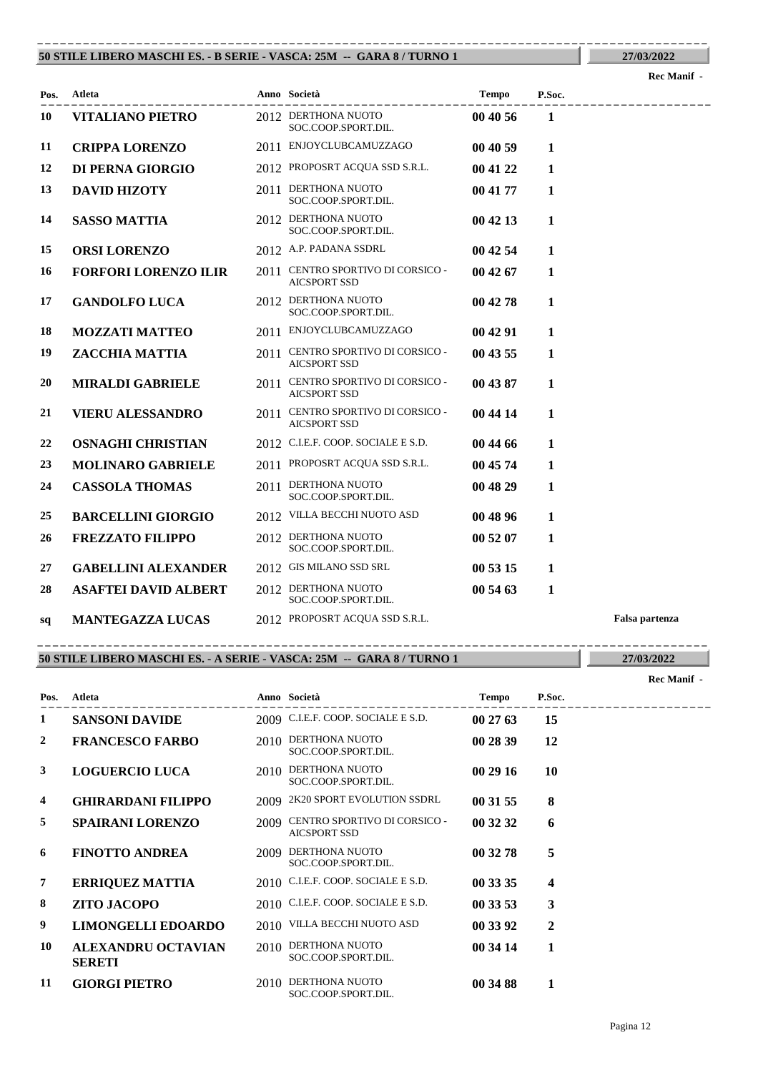### **50 STILE LIBERO MASCHI ES. - B SERIE - VASCA: 25M -- GARA 8 / TURNO 1** ----------------------------------------------------------------------------------------

**27/03/2022**

|      |                             |                                                          |              |              | кес маши        |
|------|-----------------------------|----------------------------------------------------------|--------------|--------------|-----------------|
| Pos. | Atleta                      | Anno Società                                             | <b>Tempo</b> | P.Soc.       | --------------- |
| 10   | <b>VITALIANO PIETRO</b>     | 2012 DERTHONA NUOTO<br>SOC.COOP.SPORT.DIL.               | 00 40 56     | 1            |                 |
| 11   | <b>CRIPPA LORENZO</b>       | 2011 ENJOYCLUBCAMUZZAGO                                  | 00 40 59     | 1            |                 |
| 12   | DI PERNA GIORGIO            | 2012 PROPOSRT ACQUA SSD S.R.L.                           | 00 41 22     | 1            |                 |
| 13   | <b>DAVID HIZOTY</b>         | 2011 DERTHONA NUOTO<br>SOC.COOP.SPORT.DIL.               | 00 41 77     | 1            |                 |
| 14   | <b>SASSO MATTIA</b>         | 2012 DERTHONA NUOTO<br>SOC.COOP.SPORT.DIL.               | 00 42 13     | 1            |                 |
| 15   | <b>ORSI LORENZO</b>         | 2012 A.P. PADANA SSDRL                                   | 00 42 54     | $\mathbf{1}$ |                 |
| 16   | <b>FORFORI LORENZO ILIR</b> | 2011 CENTRO SPORTIVO DI CORSICO -<br><b>AICSPORT SSD</b> | 00 42 67     | 1            |                 |
| 17   | <b>GANDOLFO LUCA</b>        | 2012 DERTHONA NUOTO<br>SOC.COOP.SPORT.DIL.               | 00 42 78     | 1            |                 |
| 18   | <b>MOZZATI MATTEO</b>       | 2011 ENJOYCLUBCAMUZZAGO                                  | 00 42 91     | $\mathbf{1}$ |                 |
| 19   | ZACCHIA MATTIA              | 2011 CENTRO SPORTIVO DI CORSICO -<br><b>AICSPORT SSD</b> | 00 43 55     | 1            |                 |
| 20   | <b>MIRALDI GABRIELE</b>     | 2011 CENTRO SPORTIVO DI CORSICO -<br><b>AICSPORT SSD</b> | 00 43 87     | 1            |                 |
| 21   | <b>VIERU ALESSANDRO</b>     | 2011 CENTRO SPORTIVO DI CORSICO -<br><b>AICSPORT SSD</b> | 00 44 14     | $\mathbf{1}$ |                 |
| 22   | <b>OSNAGHI CHRISTIAN</b>    | 2012 C.I.E.F. COOP. SOCIALE E S.D.                       | 00 44 66     | 1            |                 |
| 23   | <b>MOLINARO GABRIELE</b>    | 2011 PROPOSRT ACQUA SSD S.R.L.                           | 00 45 74     | 1            |                 |
| 24   | <b>CASSOLA THOMAS</b>       | 2011 DERTHONA NUOTO<br>SOC.COOP.SPORT.DIL.               | 00 48 29     | 1            |                 |
| 25   | <b>BARCELLINI GIORGIO</b>   | 2012 VILLA BECCHI NUOTO ASD                              | 00 48 96     | $\mathbf{1}$ |                 |
| 26   | <b>FREZZATO FILIPPO</b>     | 2012 DERTHONA NUOTO<br>SOC.COOP.SPORT.DIL.               | 00 52 07     | $\mathbf{1}$ |                 |
| 27   | <b>GABELLINI ALEXANDER</b>  | 2012 GIS MILANO SSD SRL                                  | 00 53 15     | 1            |                 |
| 28   | <b>ASAFTEI DAVID ALBERT</b> | 2012 DERTHONA NUOTO<br>SOC.COOP.SPORT.DIL.               | 00 54 63     | 1            |                 |
| sq   | <b>MANTEGAZZA LUCAS</b>     | 2012 PROPOSRT ACQUA SSD S.R.L.                           |              |              | Falsa partenza  |

### **50 STILE LIBERO MASCHI ES. - A SERIE - VASCA: 25M -- GARA 8 / TURNO 1** ----------------------------------------------------------------------------------------

|                |                                            |      |                                                     |              |                  | Rec Manif - |
|----------------|--------------------------------------------|------|-----------------------------------------------------|--------------|------------------|-------------|
| Pos.           | <b>Atleta</b>                              |      | Anno Società                                        | <b>Tempo</b> | P.Soc.           |             |
| 1              | <b>SANSONI DAVIDE</b>                      |      | 2009 C.I.E.F. COOP. SOCIALE E S.D.                  | 002763       | 15               |             |
| $\overline{2}$ | <b>FRANCESCO FARBO</b>                     |      | 2010 DERTHONA NUOTO<br>SOC.COOP.SPORT.DIL.          | 00 28 39     | 12               |             |
| 3              | <b>LOGUERCIO LUCA</b>                      | 2010 | DERTHONA NUOTO<br>SOC.COOP.SPORT.DIL.               | 00 29 16     | 10               |             |
| $\overline{4}$ | <b>GHIRARDANI FILIPPO</b>                  | 2009 | 2K20 SPORT EVOLUTION SSDRL                          | 00 31 55     | 8                |             |
| 5              | <b>SPAIRANI LORENZO</b>                    | 2009 | CENTRO SPORTIVO DI CORSICO -<br><b>AICSPORT SSD</b> | 00 32 32     | 6                |             |
| 6              | <b>FINOTTO ANDREA</b>                      | 2009 | DERTHONA NUOTO<br>SOC.COOP.SPORT.DIL.               | 00 32 78     | 5                |             |
| 7              | <b>ERRIQUEZ MATTIA</b>                     |      | 2010 C.I.E.F. COOP. SOCIALE E S.D.                  | 00 33 35     | $\boldsymbol{4}$ |             |
| 8              | <b>ZITO JACOPO</b>                         |      | 2010 C.I.E.F. COOP. SOCIALE E S.D.                  | 00 33 53     | 3                |             |
| 9              | <b>LIMONGELLI EDOARDO</b>                  |      | 2010 VILLA BECCHI NUOTO ASD                         | 00 33 92     | $\mathbf{2}$     |             |
| 10             | <b>ALEXANDRU OCTAVIAN</b><br><b>SERETI</b> | 2010 | DERTHONA NUOTO<br>SOC.COOP.SPORT.DIL.               | 00 34 14     | 1                |             |
| 11             | <b>GIORGI PIETRO</b>                       | 2010 | DERTHONA NUOTO<br>SOC.COOP.SPORT.DIL.               | 00 34 88     | 1                |             |